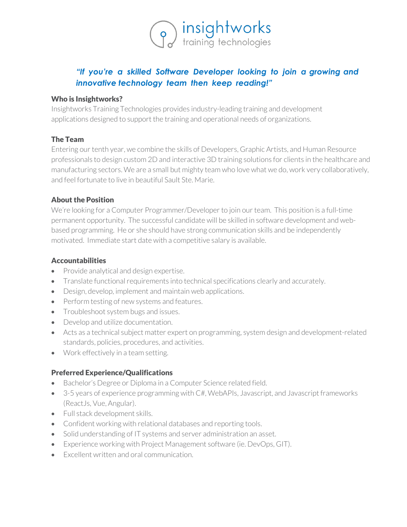

# *"If you're a skilled Software Developer looking to join a growing and innovative technology team then keep reading!"*

#### Who is Insightworks?

Insightworks Training Technologies provides industry-leading training and development applications designed to support the training and operational needs of organizations.

#### The Team

Entering our tenth year, we combine the skills of Developers, Graphic Artists, and Human Resource professionals to design custom 2D and interactive 3D training solutions for clients in the healthcare and manufacturing sectors. We are a small but mighty team who love what we do, work very collaboratively, and feel fortunate to live in beautiful Sault Ste. Marie.

#### About the Position

We're looking for a Computer Programmer/Developer to join our team. This position is a full-time permanent opportunity. The successful candidate will be skilled in software development and webbased programming. He or she should have strong communication skills and be independently motivated. Immediate start date with a competitive salary is available.

### **Accountabilities**

- Provide analytical and design expertise.
- Translate functional requirements into technical specifications clearly and accurately.
- Design, develop, implement and maintain web applications.
- Perform testing of new systems and features.
- Troubleshoot system bugs and issues.
- Develop and utilize documentation.
- Acts as a technical subject matter expert on programming, system design and development-related standards, policies, procedures, and activities.
- Work effectively in a team setting.

## Preferred Experience/Qualifications

- Bachelor's Degree or Diploma in a Computer Science related field.
- 3-5 years of experience programming with C#, WebAPIs, Javascript, and Javascript frameworks (ReactJs, Vue, Angular).
- Full stack development skills.
- Confident working with relational databases and reporting tools.
- Solid understanding of IT systems and server administration an asset.
- Experience working with Project Management software (ie. DevOps, GIT).
- Excellent written and oral communication.